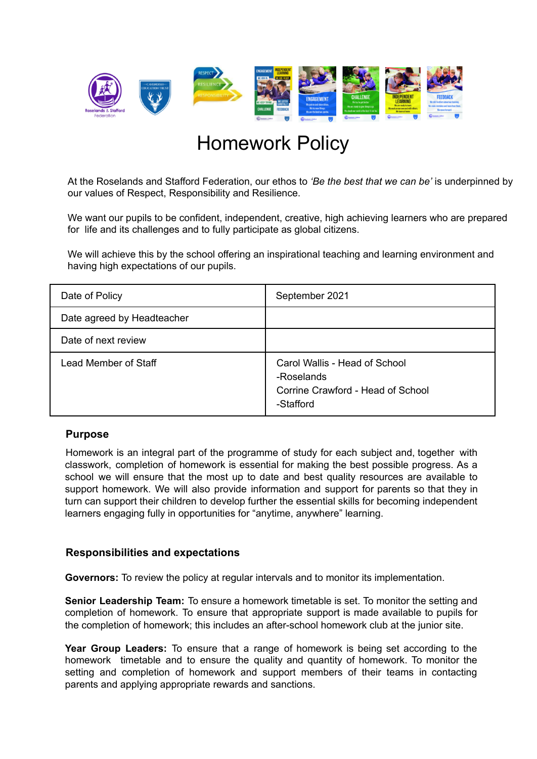

# Homework Policy

At the Roselands and Stafford Federation, our ethos to *'Be the best that we can be'* is underpinned by our values of Respect, Responsibility and Resilience.

We want our pupils to be confident, independent, creative, high achieving learners who are prepared for life and its challenges and to fully participate as global citizens.

We will achieve this by the school offering an inspirational teaching and learning environment and having high expectations of our pupils.

| Date of Policy             | September 2021                                                                                |
|----------------------------|-----------------------------------------------------------------------------------------------|
| Date agreed by Headteacher |                                                                                               |
| Date of next review        |                                                                                               |
| Lead Member of Staff       | Carol Wallis - Head of School<br>-Roselands<br>Corrine Crawford - Head of School<br>-Stafford |

### **Purpose**

Homework is an integral part of the programme of study for each subject and, together with classwork, completion of homework is essential for making the best possible progress. As a school we will ensure that the most up to date and best quality resources are available to support homework. We will also provide information and support for parents so that they in turn can support their children to develop further the essential skills for becoming independent learners engaging fully in opportunities for "anytime, anywhere" learning.

### **Responsibilities and expectations**

**Governors:** To review the policy at regular intervals and to monitor its implementation.

**Senior Leadership Team:** To ensure a homework timetable is set. To monitor the setting and completion of homework. To ensure that appropriate support is made available to pupils for the completion of homework; this includes an after-school homework club at the junior site.

**Year Group Leaders:** To ensure that a range of homework is being set according to the homework timetable and to ensure the quality and quantity of homework. To monitor the setting and completion of homework and support members of their teams in contacting parents and applying appropriate rewards and sanctions.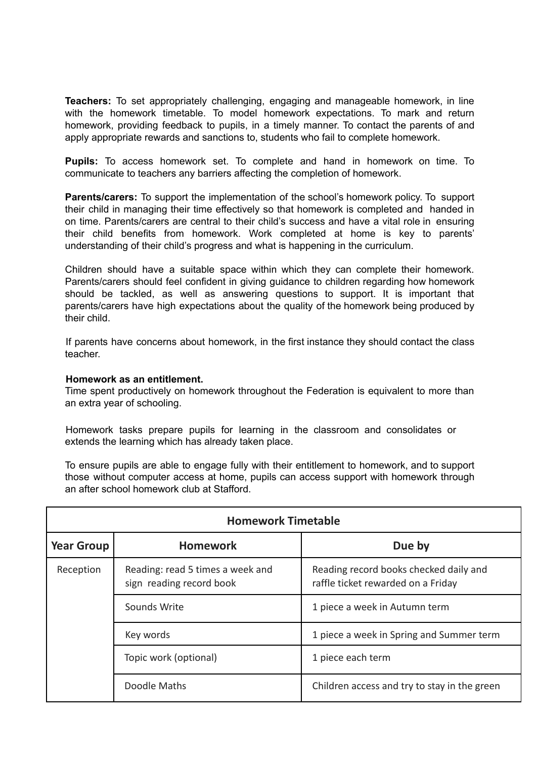**Teachers:** To set appropriately challenging, engaging and manageable homework, in line with the homework timetable. To model homework expectations. To mark and return homework, providing feedback to pupils, in a timely manner. To contact the parents of and apply appropriate rewards and sanctions to, students who fail to complete homework.

**Pupils:** To access homework set. To complete and hand in homework on time. To communicate to teachers any barriers affecting the completion of homework.

**Parents/carers:** To support the implementation of the school's homework policy. To support their child in managing their time effectively so that homework is completed and handed in on time. Parents/carers are central to their child's success and have a vital role in ensuring their child benefits from homework. Work completed at home is key to parents' understanding of their child's progress and what is happening in the curriculum.

Children should have a suitable space within which they can complete their homework. Parents/carers should feel confident in giving guidance to children regarding how homework should be tackled, as well as answering questions to support. It is important that parents/carers have high expectations about the quality of the homework being produced by their child.

If parents have concerns about homework, in the first instance they should contact the class teacher.

#### **Homework as an entitlement.**

Time spent productively on homework throughout the Federation is equivalent to more than an extra year of schooling.

Homework tasks prepare pupils for learning in the classroom and consolidates or extends the learning which has already taken place.

To ensure pupils are able to engage fully with their entitlement to homework, and to support those without computer access at home, pupils can access support with homework through an after school homework club at Stafford.

| <b>Homework Timetable</b> |                                                              |                                                                              |  |
|---------------------------|--------------------------------------------------------------|------------------------------------------------------------------------------|--|
| <b>Year Group</b>         | <b>Homework</b>                                              | Due by                                                                       |  |
| Reception                 | Reading: read 5 times a week and<br>sign reading record book | Reading record books checked daily and<br>raffle ticket rewarded on a Friday |  |
|                           | Sounds Write                                                 | 1 piece a week in Autumn term                                                |  |
|                           | Key words                                                    | 1 piece a week in Spring and Summer term                                     |  |
|                           | Topic work (optional)                                        | 1 piece each term                                                            |  |
|                           | Doodle Maths                                                 | Children access and try to stay in the green                                 |  |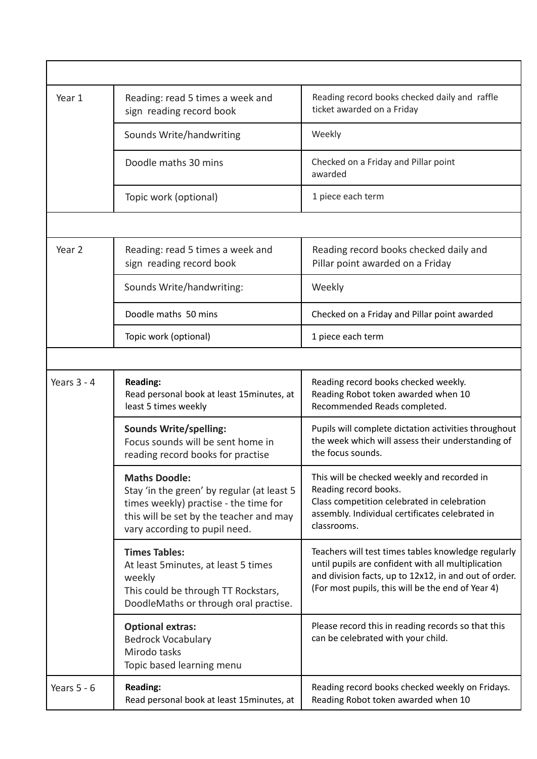| Year 1        | Reading: read 5 times a week and<br>sign reading record book                                                                                                                            | Reading record books checked daily and raffle<br>ticket awarded on a Friday                                                                                                                                             |
|---------------|-----------------------------------------------------------------------------------------------------------------------------------------------------------------------------------------|-------------------------------------------------------------------------------------------------------------------------------------------------------------------------------------------------------------------------|
|               | Sounds Write/handwriting                                                                                                                                                                | Weekly                                                                                                                                                                                                                  |
|               | Doodle maths 30 mins                                                                                                                                                                    | Checked on a Friday and Pillar point<br>awarded                                                                                                                                                                         |
|               | Topic work (optional)                                                                                                                                                                   | 1 piece each term                                                                                                                                                                                                       |
|               |                                                                                                                                                                                         |                                                                                                                                                                                                                         |
| Year 2        | Reading: read 5 times a week and<br>sign reading record book                                                                                                                            | Reading record books checked daily and<br>Pillar point awarded on a Friday                                                                                                                                              |
|               | Sounds Write/handwriting:                                                                                                                                                               | Weekly                                                                                                                                                                                                                  |
|               | Doodle maths 50 mins                                                                                                                                                                    | Checked on a Friday and Pillar point awarded                                                                                                                                                                            |
|               | Topic work (optional)                                                                                                                                                                   | 1 piece each term                                                                                                                                                                                                       |
|               |                                                                                                                                                                                         |                                                                                                                                                                                                                         |
| Years $3 - 4$ | <b>Reading:</b><br>Read personal book at least 15minutes, at<br>least 5 times weekly                                                                                                    | Reading record books checked weekly.<br>Reading Robot token awarded when 10<br>Recommended Reads completed.                                                                                                             |
|               | <b>Sounds Write/spelling:</b><br>Focus sounds will be sent home in<br>reading record books for practise                                                                                 | Pupils will complete dictation activities throughout<br>the week which will assess their understanding of<br>the focus sounds.                                                                                          |
|               | <b>Maths Doodle:</b><br>Stay 'in the green' by regular (at least 5<br>times weekly) practise - the time for<br>this will be set by the teacher and may<br>vary according to pupil need. | This will be checked weekly and recorded in<br>Reading record books.<br>Class competition celebrated in celebration<br>assembly. Individual certificates celebrated in<br>classrooms.                                   |
|               | <b>Times Tables:</b><br>At least 5 minutes, at least 5 times<br>weekly<br>This could be through TT Rockstars,<br>DoodleMaths or through oral practise.                                  | Teachers will test times tables knowledge regularly<br>until pupils are confident with all multiplication<br>and division facts, up to 12x12, in and out of order.<br>(For most pupils, this will be the end of Year 4) |
|               | <b>Optional extras:</b><br><b>Bedrock Vocabulary</b><br>Mirodo tasks<br>Topic based learning menu                                                                                       | Please record this in reading records so that this<br>can be celebrated with your child.                                                                                                                                |
| Years $5 - 6$ | <b>Reading:</b><br>Read personal book at least 15minutes, at                                                                                                                            | Reading record books checked weekly on Fridays.<br>Reading Robot token awarded when 10                                                                                                                                  |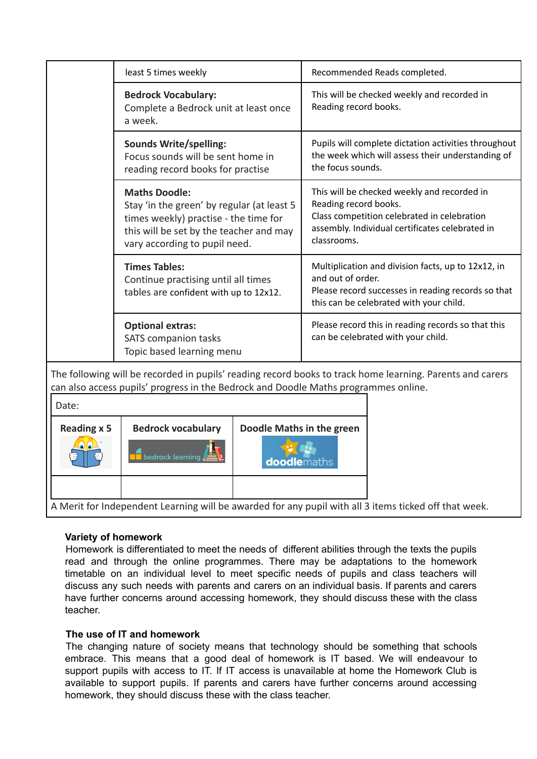|                                                                                                                                                                                                  | least 5 times weekly                                                                                                                                                                    | Recommended Reads completed.                                                                                                                                                          |  |
|--------------------------------------------------------------------------------------------------------------------------------------------------------------------------------------------------|-----------------------------------------------------------------------------------------------------------------------------------------------------------------------------------------|---------------------------------------------------------------------------------------------------------------------------------------------------------------------------------------|--|
|                                                                                                                                                                                                  | <b>Bedrock Vocabulary:</b><br>Complete a Bedrock unit at least once<br>a week.                                                                                                          | This will be checked weekly and recorded in<br>Reading record books.                                                                                                                  |  |
|                                                                                                                                                                                                  | <b>Sounds Write/spelling:</b><br>Focus sounds will be sent home in<br>reading record books for practise                                                                                 | Pupils will complete dictation activities throughout<br>the week which will assess their understanding of<br>the focus sounds.                                                        |  |
|                                                                                                                                                                                                  | <b>Maths Doodle:</b><br>Stay 'in the green' by regular (at least 5<br>times weekly) practise - the time for<br>this will be set by the teacher and may<br>vary according to pupil need. | This will be checked weekly and recorded in<br>Reading record books.<br>Class competition celebrated in celebration<br>assembly. Individual certificates celebrated in<br>classrooms. |  |
|                                                                                                                                                                                                  | <b>Times Tables:</b><br>Continue practising until all times<br>tables are confident with up to 12x12.                                                                                   | Multiplication and division facts, up to 12x12, in<br>and out of order.<br>Please record successes in reading records so that<br>this can be celebrated with your child.              |  |
|                                                                                                                                                                                                  | <b>Optional extras:</b><br><b>SATS</b> companion tasks<br>Topic based learning menu                                                                                                     | Please record this in reading records so that this<br>can be celebrated with your child.                                                                                              |  |
| The following will be recorded in pupils' reading record books to track home learning. Parents and carers<br>can also access pupils' progress in the Bedrock and Doodle Maths programmes online. |                                                                                                                                                                                         |                                                                                                                                                                                       |  |
| Date:                                                                                                                                                                                            |                                                                                                                                                                                         |                                                                                                                                                                                       |  |
| <b>Reading x 5</b>                                                                                                                                                                               | <b>Bedrock vocabulary</b>                                                                                                                                                               | Doodle Maths in the green                                                                                                                                                             |  |
|                                                                                                                                                                                                  | bedrock learning                                                                                                                                                                        | <b>doodlemaths</b>                                                                                                                                                                    |  |

A Merit for Independent Learning will be awarded for any pupil with all 3 items ticked off that week.

### **Variety of homework**

Homework is differentiated to meet the needs of different abilities through the texts the pupils read and through the online programmes. There may be adaptations to the homework timetable on an individual level to meet specific needs of pupils and class teachers will discuss any such needs with parents and carers on an individual basis. If parents and carers have further concerns around accessing homework, they should discuss these with the class teacher.

### **The use of IT and homework**

The changing nature of society means that technology should be something that schools embrace. This means that a good deal of homework is IT based. We will endeavour to support pupils with access to IT. If IT access is unavailable at home the Homework Club is available to support pupils. If parents and carers have further concerns around accessing homework, they should discuss these with the class teacher.